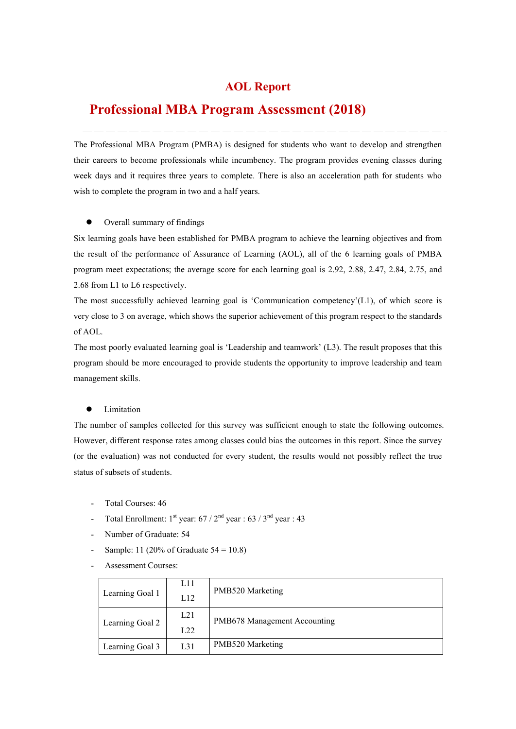## **AOL Report**

# **Professional MBA Program Assessment (2018)**

The Professional MBA Program (PMBA) is designed for students who want to develop and strengthen their careers to become professionals while incumbency. The program provides evening classes during week days and it requires three years to complete. There is also an acceleration path for students who wish to complete the program in two and a half years.

#### Overall summary of findings

Six learning goals have been established for PMBA program to achieve the learning objectives and from the result of the performance of Assurance of Learning (AOL), all of the 6 learning goals of PMBA program meet expectations; the average score for each learning goal is 2.92, 2.88, 2.47, 2.84, 2.75, and 2.68 from L1 to L6 respectively.

The most successfully achieved learning goal is 'Communication competency'(L1), of which score is very close to 3 on average, which shows the superior achievement of this program respect to the standards of AOL.

The most poorly evaluated learning goal is 'Leadership and teamwork' (L3). The result proposes that this program should be more encouraged to provide students the opportunity to improve leadership and team management skills.

#### Limitation

The number of samples collected for this survey was sufficient enough to state the following outcomes. However, different response rates among classes could bias the outcomes in this report. Since the survey (or the evaluation) was not conducted for every student, the results would not possibly reflect the true status of subsets of students.

- 
- Total Courses: 46<br>- Total Enrollment: 1<sup>st</sup> year: 67 / 2<sup>nd</sup> year : 63 / 3<sup>nd</sup> year : 43<br>- Number of Graduate: 54
- 
- Sample: 11 (20% of Graduate  $54 = 10.8$ )
- Assessment Courses:

|                 | L11 |                              |  |  |  |
|-----------------|-----|------------------------------|--|--|--|
| Learning Goal 1 | L12 | PMB520 Marketing             |  |  |  |
|                 | L21 | PMB678 Management Accounting |  |  |  |
| Learning Goal 2 | L22 |                              |  |  |  |
| Learning Goal 3 | L31 | PMB520 Marketing             |  |  |  |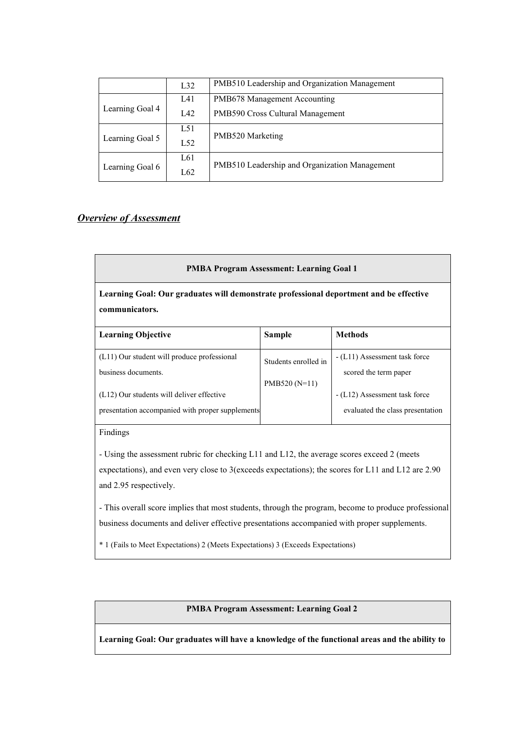|                 | L32 | PMB510 Leadership and Organization Management |
|-----------------|-----|-----------------------------------------------|
|                 | L41 | PMB678 Management Accounting                  |
| Learning Goal 4 | L42 | PMB590 Cross Cultural Management              |
|                 | L51 | PMB520 Marketing                              |
| Learning Goal 5 | L52 |                                               |
|                 | L61 | PMB510 Leadership and Organization Management |
| Learning Goal 6 | L62 |                                               |

## *Overview of Assessment*

#### **PMBA Program Assessment: Learning Goal 1**

**Learning Goal: Our graduates will demonstrate professional deportment and be effective communicators.**

| <b>Learning Objective</b>                        | <b>Sample</b>        | <b>Methods</b>                   |
|--------------------------------------------------|----------------------|----------------------------------|
| (L11) Our student will produce professional      | Students enrolled in | - (L11) Assessment task force    |
| business documents.                              |                      | scored the term paper            |
|                                                  | $PMB520(N=11)$       |                                  |
| (L12) Our students will deliver effective        |                      | - (L12) Assessment task force    |
| presentation accompanied with proper supplements |                      | evaluated the class presentation |

Findings

- Using the assessment rubric for checking L11 and L12, the average scores exceed 2 (meets expectations), and even very close to 3(exceeds expectations); the scores for L11 and L12 are 2.90 and 2.95 respectively.

- This overall score implies that most students, through the program, become to produce professional business documents and deliver effective presentations accompanied with proper supplements.

\* 1 (Fails to Meet Expectations) 2 (Meets Expectations) 3 (Exceeds Expectations)

#### **PMBA Program Assessment: Learning Goal 2**

**Learning Goal: Our graduates will have a knowledge of the functional areas and the ability to**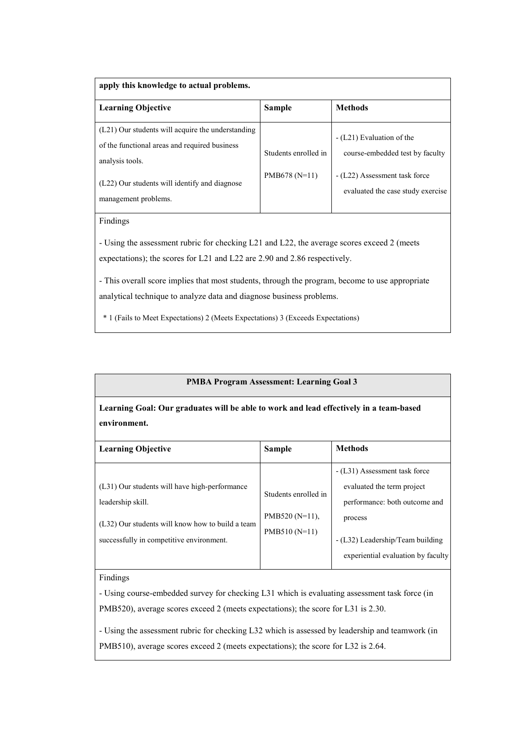| apply this knowledge to actual problems.                                                                                                                                                       |                                        |                                                                                                                                    |  |  |  |  |  |  |
|------------------------------------------------------------------------------------------------------------------------------------------------------------------------------------------------|----------------------------------------|------------------------------------------------------------------------------------------------------------------------------------|--|--|--|--|--|--|
| <b>Learning Objective</b>                                                                                                                                                                      | <b>Sample</b>                          | <b>Methods</b>                                                                                                                     |  |  |  |  |  |  |
| (L21) Our students will acquire the understanding<br>of the functional areas and required business<br>analysis tools.<br>(L22) Our students will identify and diagnose<br>management problems. | Students enrolled in<br>$PMB678(N=11)$ | - (L21) Evaluation of the<br>course-embedded test by faculty<br>- (L22) Assessment task force<br>evaluated the case study exercise |  |  |  |  |  |  |

## Findings

- Using the assessment rubric for checking L21 and L22, the average scores exceed 2 (meets expectations); the scores for L21 and L22 are 2.90 and 2.86 respectively.

- This overall score implies that most students, through the program, become to use appropriate analytical technique to analyze data and diagnose business problems.

\* 1 (Fails to Meet Expectations) 2 (Meets Expectations) 3 (Exceeds Expectations)

#### **PMBA Program Assessment: Learning Goal 3**

**Learning Goal: Our graduates will be able to work and lead effectively in a team-based environment.**

| <b>Learning Objective</b>                        | <b>Sample</b>        | <b>Methods</b>                     |  |  |
|--------------------------------------------------|----------------------|------------------------------------|--|--|
|                                                  |                      | - (L31) Assessment task force      |  |  |
| (L31) Our students will have high-performance    | Students enrolled in | evaluated the term project         |  |  |
| leadership skill.                                |                      | performance: both outcome and      |  |  |
| (L32) Our students will know how to build a team | PMB520 $(N=11)$ ,    | process                            |  |  |
| successfully in competitive environment.         | $PMB510(N=11)$       | - (L32) Leadership/Team building   |  |  |
|                                                  |                      | experiential evaluation by faculty |  |  |

#### Findings

- Using course-embedded survey for checking L31 which is evaluating assessment task force (in PMB520), average scores exceed 2 (meets expectations); the score for L31 is 2.30.

- Using the assessment rubric for checking L32 which is assessed by leadership and teamwork (in PMB510), average scores exceed 2 (meets expectations); the score for L32 is 2.64.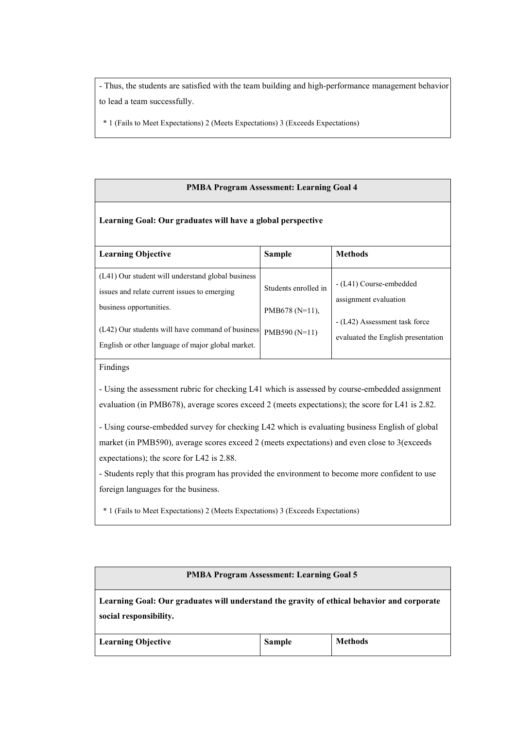- Thus, the students are satisfied with the team building and high-performance management behavior to lead a team successfully.

\* 1 (Fails to Meet Expectations) 2 (Meets Expectations) 3 (Exceeds Expectations)

#### **PMBA Program Assessment: Learning Goal 4**

#### **Learning Goal: Our graduates will have a global perspective**

| <b>Learning Objective</b>                                                                                                    | <b>Sample</b>                              | <b>Methods</b>                                                      |  |
|------------------------------------------------------------------------------------------------------------------------------|--------------------------------------------|---------------------------------------------------------------------|--|
| (L41) Our student will understand global business<br>issues and relate current issues to emerging<br>business opportunities. | Students enrolled in<br>PMB678 ( $N=11$ ), | - (L41) Course-embedded<br>assignment evaluation                    |  |
| (L42) Our students will have command of business<br>English or other language of major global market.                        | PMB590 (N=11)                              | - (L42) Assessment task force<br>evaluated the English presentation |  |

Findings

- Using the assessment rubric for checking L41 which is assessed by course-embedded assignment evaluation (in PMB678), average scores exceed 2 (meets expectations); the score for L41 is 2.82.

- Using course-embedded survey for checking L42 which is evaluating business English of global market (in PMB590), average scores exceed 2 (meets expectations) and even close to 3(exceeds expectations); the score for L42 is 2.88.

- Students reply that this program has provided the environment to become more confident to use foreign languages for the business.

\* 1 (Fails to Meet Expectations) 2 (Meets Expectations) 3 (Exceeds Expectations)

### **PMBA Program Assessment: Learning Goal 5**

**Learning Goal: Our graduates will understand the gravity of ethical behavior and corporate social responsibility.**

| <b>Learning Objective</b> | Sample | <b>Methods</b> |
|---------------------------|--------|----------------|
|---------------------------|--------|----------------|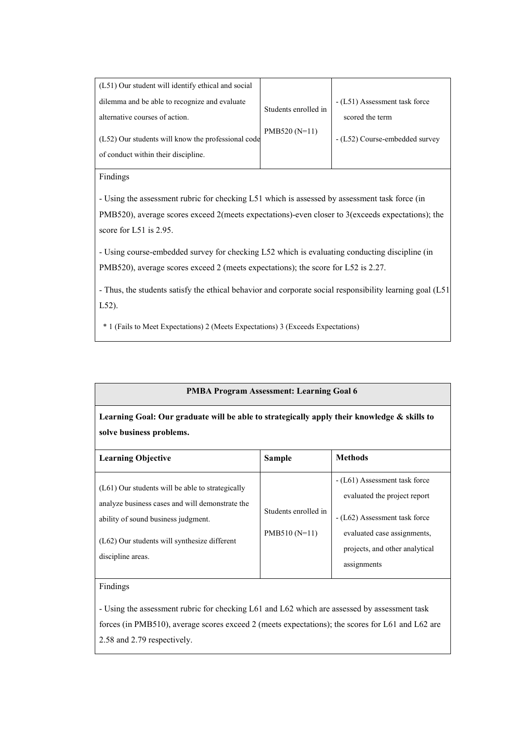| (L51) Our student will identify ethical and social |                      |                                |
|----------------------------------------------------|----------------------|--------------------------------|
| dilemma and be able to recognize and evaluate      | Students enrolled in | - (L51) Assessment task force  |
| alternative courses of action.                     |                      |                                |
| (L52) Our students will know the professional code | $PMB520(N=11)$       | - (L52) Course-embedded survey |
| of conduct within their discipline.                |                      |                                |

#### Findings

- Using the assessment rubric for checking L51 which is assessed by assessment task force (in PMB520), average scores exceed 2(meets expectations)-even closer to 3(exceeds expectations); the score for L51 is 2.95.

- Using course-embedded survey for checking L52 which is evaluating conducting discipline (in PMB520), average scores exceed 2 (meets expectations); the score for L52 is 2.27.

- Thus, the students satisfy the ethical behavior and corporate social responsibility learning goal (L51, L52).

\* 1 (Fails to Meet Expectations) 2 (Meets Expectations) 3 (Exceeds Expectations)

#### **PMBA Program Assessment: Learning Goal 6**

**Learning Goal: Our graduate will be able to strategically apply their knowledge & skills to solve business problems.**

| <b>Learning Objective</b>                                                                                                                                                                                           | <b>Sample</b>                          | <b>Methods</b>                                                                                                                                                                 |
|---------------------------------------------------------------------------------------------------------------------------------------------------------------------------------------------------------------------|----------------------------------------|--------------------------------------------------------------------------------------------------------------------------------------------------------------------------------|
| $(L61)$ Our students will be able to strategically<br>analyze business cases and will demonstrate the<br>ability of sound business judgment.<br>$(L62)$ Our students will synthesize different<br>discipline areas. | Students enrolled in<br>$PMB510(N=11)$ | - (L61) Assessment task force<br>evaluated the project report<br>- (L62) Assessment task force<br>evaluated case assignments,<br>projects, and other analytical<br>assignments |

### Findings

- Using the assessment rubric for checking L61 and L62 which are assessed by assessment task forces (in PMB510), average scores exceed 2 (meets expectations); the scores for L61 and L62 are 2.58 and 2.79 respectively.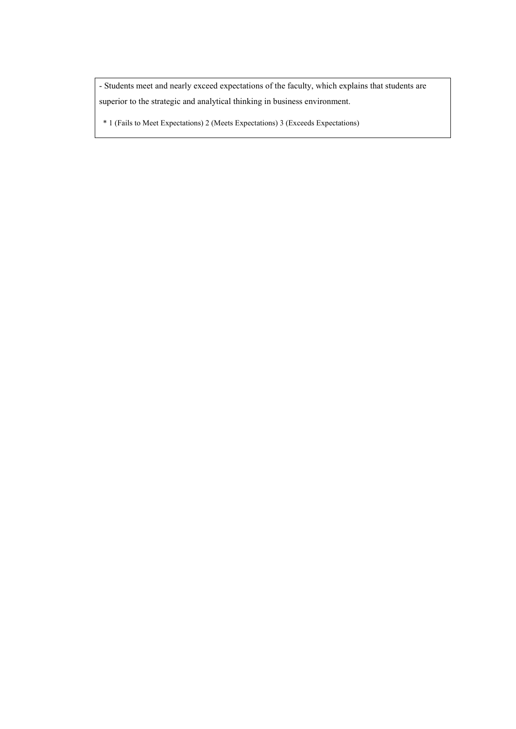- Students meet and nearly exceed expectations of the faculty, which explains that students are superior to the strategic and analytical thinking in business environment.

\* 1 (Fails to Meet Expectations) 2 (Meets Expectations) 3 (Exceeds Expectations)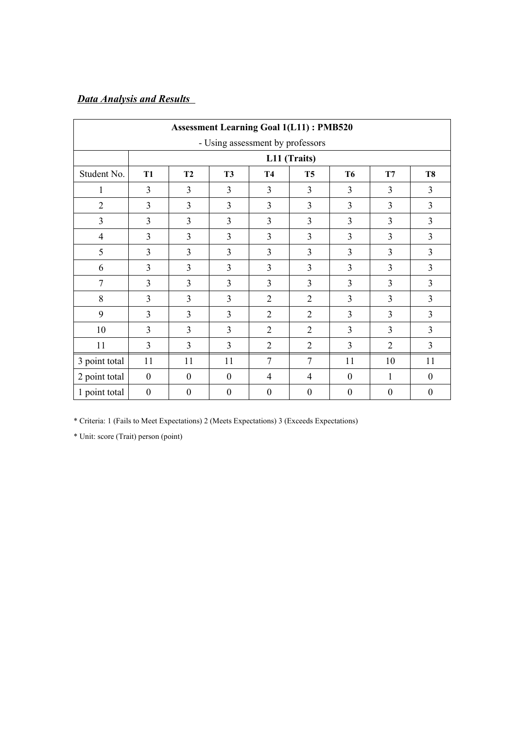## *Data Analysis and Results*

|                |                  |                  |                                  |                  | <b>Assessment Learning Goal 1(L11): PMB520</b> |                  |                  |                  |  |  |
|----------------|------------------|------------------|----------------------------------|------------------|------------------------------------------------|------------------|------------------|------------------|--|--|
|                |                  |                  | - Using assessment by professors |                  |                                                |                  |                  |                  |  |  |
|                | L11 (Traits)     |                  |                                  |                  |                                                |                  |                  |                  |  |  |
| Student No.    | <b>T1</b>        | T <sub>2</sub>   | <b>T3</b>                        | <b>T4</b>        | T <sub>5</sub>                                 | <b>T6</b>        | T7               | <b>T8</b>        |  |  |
| 1              | 3                | 3                | 3                                | $\overline{3}$   | 3                                              | 3                | $\overline{3}$   | $\overline{3}$   |  |  |
| $\overline{2}$ | 3                | 3                | 3                                | $\overline{3}$   | $\overline{3}$                                 | 3                | $\overline{3}$   | $\overline{3}$   |  |  |
| $\overline{3}$ | 3                | 3                | $\overline{3}$                   | $\overline{3}$   | 3                                              | 3                | $\overline{3}$   | $\overline{3}$   |  |  |
| $\overline{4}$ | 3                | $\overline{3}$   | $\overline{3}$                   | $\overline{3}$   | 3                                              | 3                | $\overline{3}$   | $\overline{3}$   |  |  |
| 5              | $\overline{3}$   | 3                | $\overline{3}$                   | $\overline{3}$   | 3                                              | 3                | $\overline{3}$   | $\overline{3}$   |  |  |
| 6              | 3                | 3                | $\overline{3}$                   | $\overline{3}$   | 3                                              | 3                | $\overline{3}$   | $\overline{3}$   |  |  |
| $\overline{7}$ | 3                | 3                | 3                                | $\overline{3}$   | 3                                              | 3                | $\overline{3}$   | $\overline{3}$   |  |  |
| 8              | 3                | 3                | 3                                | $\overline{2}$   | $\overline{2}$                                 | 3                | 3                | $\overline{3}$   |  |  |
| 9              | 3                | 3                | 3                                | $\overline{2}$   | $\overline{2}$                                 | 3                | $\overline{3}$   | $\overline{3}$   |  |  |
| 10             | 3                | 3                | $\overline{3}$                   | $\overline{2}$   | $\overline{2}$                                 | 3                | 3                | $\overline{3}$   |  |  |
| 11             | 3                | $\overline{3}$   | $\overline{3}$                   | $\overline{2}$   | $\overline{2}$                                 | 3                | $\overline{2}$   | $\overline{3}$   |  |  |
| 3 point total  | 11               | 11               | 11                               | $\overline{7}$   | $\overline{7}$                                 | 11               | 10               | 11               |  |  |
| 2 point total  | $\boldsymbol{0}$ | $\mathbf{0}$     | $\mathbf{0}$                     | 4                | $\overline{4}$                                 | $\boldsymbol{0}$ | 1                | $\mathbf{0}$     |  |  |
| 1 point total  | $\boldsymbol{0}$ | $\boldsymbol{0}$ | $\boldsymbol{0}$                 | $\boldsymbol{0}$ | $\boldsymbol{0}$                               | $\boldsymbol{0}$ | $\boldsymbol{0}$ | $\boldsymbol{0}$ |  |  |

\* Criteria: 1 (Fails to Meet Expectations) 2 (Meets Expectations) 3 (Exceeds Expectations)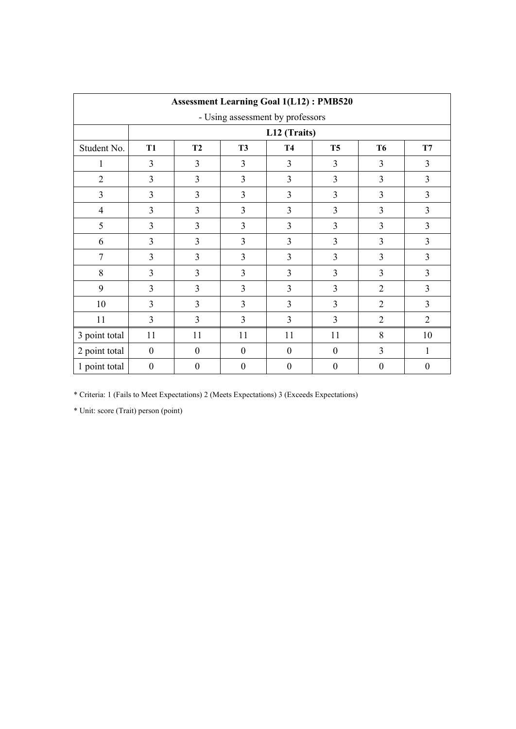|                                  |                                                                                |                  |                  | <b>Assessment Learning Goal 1(L12): PMB520</b> |                  |                  |                  |  |  |  |  |
|----------------------------------|--------------------------------------------------------------------------------|------------------|------------------|------------------------------------------------|------------------|------------------|------------------|--|--|--|--|
| - Using assessment by professors |                                                                                |                  |                  |                                                |                  |                  |                  |  |  |  |  |
|                                  |                                                                                | L12 (Traits)     |                  |                                                |                  |                  |                  |  |  |  |  |
| Student No.                      | <b>T1</b><br>T2<br><b>T3</b><br><b>T4</b><br>T <sub>5</sub><br><b>T6</b><br>T7 |                  |                  |                                                |                  |                  |                  |  |  |  |  |
| 1                                | $\overline{3}$                                                                 | $\overline{3}$   | 3                | $\overline{3}$                                 | $\overline{3}$   | 3                | $\overline{3}$   |  |  |  |  |
| $\overline{2}$                   | $\overline{3}$                                                                 | 3                | 3                | $\overline{3}$                                 | $\overline{3}$   | $\overline{3}$   | 3                |  |  |  |  |
| $\overline{3}$                   | $\overline{3}$                                                                 | $\overline{3}$   | 3                | $\overline{3}$                                 | $\overline{3}$   | $\overline{3}$   | 3                |  |  |  |  |
| $\overline{4}$                   | $\overline{3}$                                                                 | 3                | 3                | 3                                              | 3                | $\overline{3}$   | 3                |  |  |  |  |
| 5                                | $\overline{3}$                                                                 | 3                | 3                | $\overline{3}$                                 | $\overline{3}$   | $\overline{3}$   | 3                |  |  |  |  |
| 6                                | $\overline{3}$                                                                 | $\overline{3}$   | 3                | $\overline{3}$                                 | $\overline{3}$   | $\overline{3}$   | 3                |  |  |  |  |
| $\overline{7}$                   | $\overline{3}$                                                                 | $\overline{3}$   | 3                | $\overline{3}$                                 | $\overline{3}$   | $\overline{3}$   | 3                |  |  |  |  |
| 8                                | 3                                                                              | 3                | 3                | 3                                              | $\overline{3}$   | $\overline{3}$   | $\overline{3}$   |  |  |  |  |
| 9                                | 3                                                                              | $\overline{3}$   | 3                | $\overline{3}$                                 | $\overline{3}$   | $\overline{2}$   | $\overline{3}$   |  |  |  |  |
| 10                               | 3                                                                              | 3                | 3                | 3                                              | 3                | $\overline{2}$   | $\overline{3}$   |  |  |  |  |
| 11                               | 3                                                                              | 3                | 3                | 3                                              | 3                | $\overline{2}$   | $\overline{2}$   |  |  |  |  |
| 3 point total                    | 11                                                                             | 11               | 11               | 11                                             | 11               | 8                | 10               |  |  |  |  |
| 2 point total                    | $\mathbf{0}$                                                                   | $\boldsymbol{0}$ | $\boldsymbol{0}$ | $\theta$                                       | $\mathbf{0}$     | $\overline{3}$   | 1                |  |  |  |  |
| 1 point total                    | $\boldsymbol{0}$                                                               | $\boldsymbol{0}$ | $\boldsymbol{0}$ | $\boldsymbol{0}$                               | $\boldsymbol{0}$ | $\boldsymbol{0}$ | $\boldsymbol{0}$ |  |  |  |  |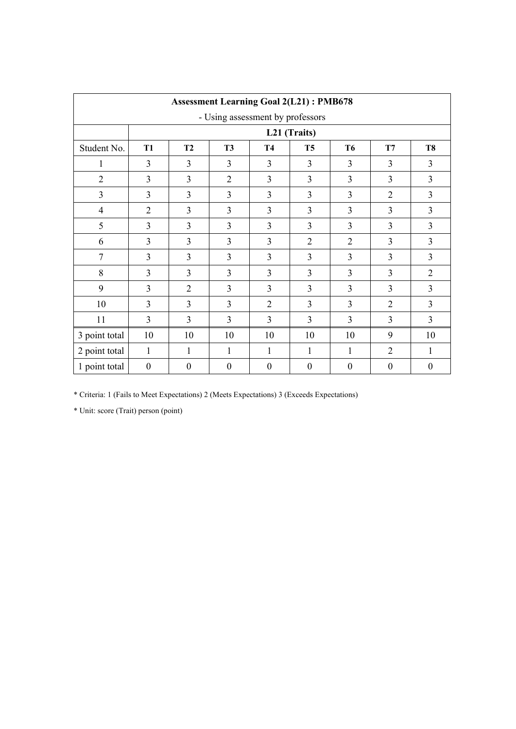|                |                  |                  |                                  |                  | <b>Assessment Learning Goal 2(L21): PMB678</b> |                  |                  |                  |  |  |  |
|----------------|------------------|------------------|----------------------------------|------------------|------------------------------------------------|------------------|------------------|------------------|--|--|--|
|                |                  |                  | - Using assessment by professors |                  |                                                |                  |                  |                  |  |  |  |
|                | L21 (Traits)     |                  |                                  |                  |                                                |                  |                  |                  |  |  |  |
| Student No.    | <b>T1</b>        | T2               | <b>T3</b>                        | <b>T4</b>        | <b>T5</b>                                      | T6               | T7               | <b>T8</b>        |  |  |  |
| 1              | 3                | $\overline{3}$   | $\overline{3}$                   | $\overline{3}$   | 3                                              | 3                | 3                | $\overline{3}$   |  |  |  |
| $\overline{2}$ | 3                | 3                | $\overline{2}$                   | $\overline{3}$   | 3                                              | 3                | 3                | $\overline{3}$   |  |  |  |
| 3              | 3                | $\overline{3}$   | $\overline{3}$                   | $\overline{3}$   | 3                                              | 3                | $\overline{2}$   | $\overline{3}$   |  |  |  |
| $\overline{4}$ | $\overline{2}$   | 3                | $\overline{3}$                   | $\overline{3}$   | 3                                              | 3                | $\overline{3}$   | $\overline{3}$   |  |  |  |
| 5              | 3                | $\overline{3}$   | 3                                | 3                | 3                                              | 3                | $\overline{3}$   | $\overline{3}$   |  |  |  |
| 6              | 3                | 3                | 3                                | $\overline{3}$   | $\overline{2}$                                 | $\overline{2}$   | 3                | $\overline{3}$   |  |  |  |
| $\overline{7}$ | 3                | 3                | $\overline{3}$                   | $\overline{3}$   | 3                                              | 3                | 3                | $\overline{3}$   |  |  |  |
| 8              | 3                | $\overline{3}$   | 3                                | $\overline{3}$   | 3                                              | 3                | 3                | $\overline{2}$   |  |  |  |
| 9              | 3                | $\overline{2}$   | $\overline{3}$                   | $\overline{3}$   | 3                                              | 3                | $\overline{3}$   | $\overline{3}$   |  |  |  |
| 10             | 3                | 3                | $\overline{3}$                   | $\overline{2}$   | 3                                              | 3                | $\overline{2}$   | $\overline{3}$   |  |  |  |
| 11             | 3                | 3                | 3                                | $\overline{3}$   | 3                                              | 3                | 3                | $\overline{3}$   |  |  |  |
| 3 point total  | 10               | 10               | 10                               | 10               | 10                                             | 10               | 9                | 10               |  |  |  |
| 2 point total  | $\mathbf{1}$     | 1                | 1                                | 1                | 1                                              | 1                | $\overline{2}$   | 1                |  |  |  |
| 1 point total  | $\boldsymbol{0}$ | $\boldsymbol{0}$ | $\boldsymbol{0}$                 | $\boldsymbol{0}$ | $\boldsymbol{0}$                               | $\boldsymbol{0}$ | $\boldsymbol{0}$ | $\boldsymbol{0}$ |  |  |  |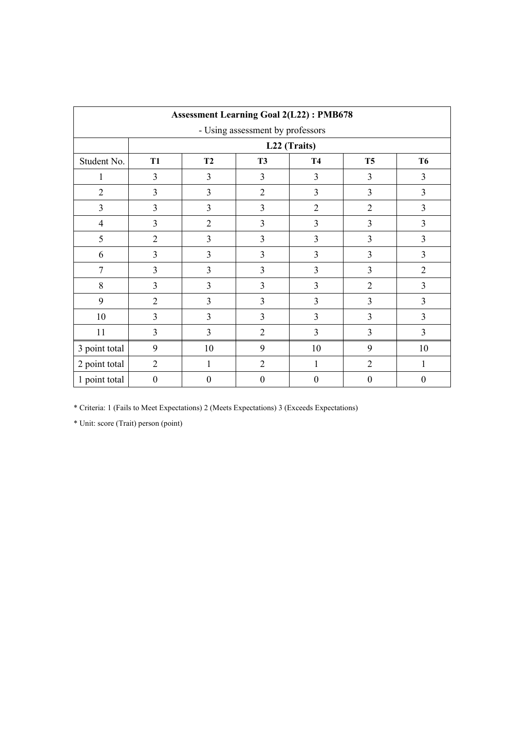|                |                |                |                                  | <b>Assessment Learning Goal 2(L22): PMB678</b> |                |                |  |  |
|----------------|----------------|----------------|----------------------------------|------------------------------------------------|----------------|----------------|--|--|
|                |                |                | - Using assessment by professors |                                                |                |                |  |  |
|                | L22 (Traits)   |                |                                  |                                                |                |                |  |  |
| Student No.    | <b>T1</b>      | <b>T2</b>      | <b>T3</b>                        | <b>T4</b>                                      | T <sub>5</sub> | <b>T6</b>      |  |  |
| 1              | $\overline{3}$ | 3              | 3                                | 3                                              | 3              | $\overline{3}$ |  |  |
| $\overline{2}$ | 3              | 3              | $\overline{2}$                   | 3                                              | 3              | 3              |  |  |
| $\overline{3}$ | $\overline{3}$ | $\overline{3}$ | 3                                | $\overline{2}$                                 | $\overline{2}$ | $\overline{3}$ |  |  |
| $\overline{4}$ | $\overline{3}$ | $\overline{2}$ | 3                                | 3                                              | 3              | $\overline{3}$ |  |  |
| 5              | $\overline{2}$ | 3              | 3                                | 3                                              | 3              | $\overline{3}$ |  |  |
| 6              | $\overline{3}$ | $\overline{3}$ | 3                                | 3                                              | 3              | $\overline{3}$ |  |  |
| 7              | $\overline{3}$ | $\overline{3}$ | 3                                | 3                                              | 3              | $\overline{2}$ |  |  |
| 8              | 3              | $\overline{3}$ | 3                                | 3                                              | $\overline{2}$ | $\overline{3}$ |  |  |
| 9              | $\overline{2}$ | $\overline{3}$ | $\overline{3}$                   | 3                                              | $\overline{3}$ | $\overline{3}$ |  |  |
| 10             | $\overline{3}$ | $\overline{3}$ | 3                                | 3                                              | 3              | $\overline{3}$ |  |  |
| 11             | 3              | $\overline{3}$ | $\overline{2}$                   | $\overline{3}$                                 | $\overline{3}$ | $\overline{3}$ |  |  |
| 3 point total  | 9              | 10             | 9                                | 10                                             | 9              | 10             |  |  |
| 2 point total  | $\overline{2}$ | 1              | $\overline{2}$                   | 1                                              | $\overline{2}$ | 1              |  |  |
| 1 point total  | $\overline{0}$ | $\mathbf{0}$   | $\overline{0}$                   | $\mathbf{0}$                                   | $\theta$       | $\overline{0}$ |  |  |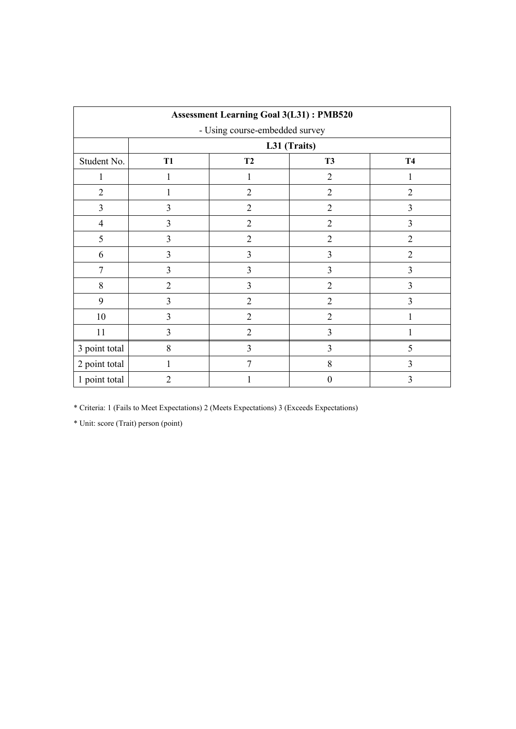| <b>Assessment Learning Goal 3(L31): PMB520</b> |                                           |                |                  |                |  |  |  |  |  |
|------------------------------------------------|-------------------------------------------|----------------|------------------|----------------|--|--|--|--|--|
| - Using course-embedded survey                 |                                           |                |                  |                |  |  |  |  |  |
|                                                |                                           | L31 (Traits)   |                  |                |  |  |  |  |  |
| Student No.                                    | <b>T1</b><br>T2<br><b>T3</b><br><b>T4</b> |                |                  |                |  |  |  |  |  |
| 1                                              |                                           |                | $\overline{2}$   |                |  |  |  |  |  |
| $\overline{2}$                                 |                                           | $\overline{2}$ | $\overline{2}$   | $\overline{2}$ |  |  |  |  |  |
| 3                                              | 3                                         | $\overline{2}$ | $\overline{2}$   | 3              |  |  |  |  |  |
| $\overline{4}$                                 | 3                                         | $\overline{2}$ | $\overline{2}$   | $\overline{3}$ |  |  |  |  |  |
| 5                                              | 3                                         | $\overline{2}$ | $\overline{2}$   | $\overline{2}$ |  |  |  |  |  |
| 6                                              | 3                                         | $\overline{3}$ | 3                | $\overline{2}$ |  |  |  |  |  |
| 7                                              | 3                                         | 3              | 3                | $\overline{3}$ |  |  |  |  |  |
| 8                                              | $\overline{2}$                            | $\overline{3}$ | $\overline{2}$   | $\overline{3}$ |  |  |  |  |  |
| 9                                              | 3                                         | $\overline{2}$ | $\overline{2}$   | $\overline{3}$ |  |  |  |  |  |
| 10                                             | 3                                         | $\overline{2}$ | $\overline{2}$   | 1              |  |  |  |  |  |
| 11                                             | 3                                         | $\overline{2}$ | $\overline{3}$   |                |  |  |  |  |  |
| 3 point total                                  | 8                                         | $\overline{3}$ | 3                | 5              |  |  |  |  |  |
| 2 point total                                  | 1                                         | $\tau$         | 8                | 3              |  |  |  |  |  |
| 1 point total                                  | $\overline{2}$                            |                | $\boldsymbol{0}$ | 3              |  |  |  |  |  |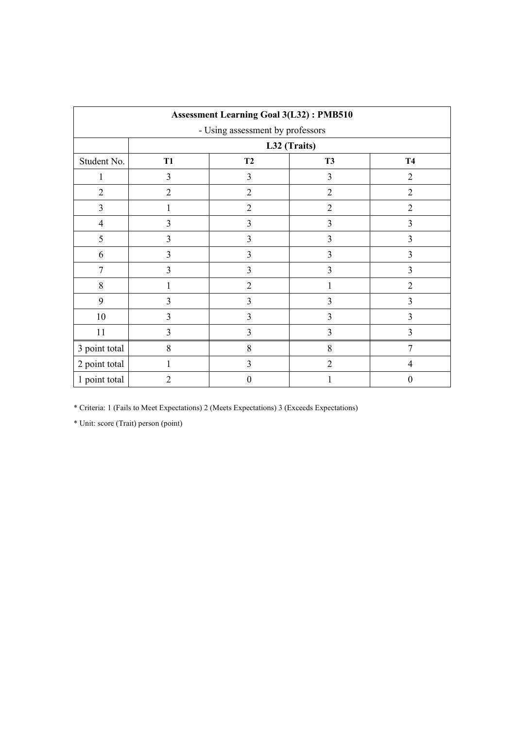| <b>Assessment Learning Goal 3(L32): PMB510</b> |                |                              |                |                |  |  |  |  |  |
|------------------------------------------------|----------------|------------------------------|----------------|----------------|--|--|--|--|--|
| - Using assessment by professors               |                |                              |                |                |  |  |  |  |  |
|                                                |                | L32 (Traits)                 |                |                |  |  |  |  |  |
| Student No.                                    | <b>T1</b>      | T2<br><b>T4</b><br><b>T3</b> |                |                |  |  |  |  |  |
| 1                                              | 3              | 3                            | 3              | $\overline{2}$ |  |  |  |  |  |
| $\overline{2}$                                 | $\overline{2}$ | $\overline{2}$               | $\overline{2}$ | $\overline{2}$ |  |  |  |  |  |
| $\overline{3}$                                 | 1              | $\overline{2}$               | $\overline{2}$ | $\overline{2}$ |  |  |  |  |  |
| $\overline{4}$                                 | 3              | $\overline{3}$               | 3              | $\overline{3}$ |  |  |  |  |  |
| 5                                              | 3              | $\overline{3}$               | 3              | 3              |  |  |  |  |  |
| 6                                              | 3              | $\overline{3}$               | 3              | 3              |  |  |  |  |  |
| 7                                              | 3              | $\overline{3}$               | 3              | $\overline{3}$ |  |  |  |  |  |
| 8                                              | 1              | $\overline{2}$               | 1              | $\overline{2}$ |  |  |  |  |  |
| 9                                              | 3              | $\overline{3}$               | 3              | $\overline{3}$ |  |  |  |  |  |
| 10                                             | 3              | $\overline{3}$               | 3              | $\overline{3}$ |  |  |  |  |  |
| 11                                             | 3              | $\overline{3}$               | 3              | $\overline{3}$ |  |  |  |  |  |
| 3 point total                                  | 8              | 8                            | 8              | 7              |  |  |  |  |  |
| 2 point total                                  | 1              | 3                            | $\overline{2}$ | 4              |  |  |  |  |  |
| 1 point total                                  | $\overline{2}$ | $\theta$                     |                | $\theta$       |  |  |  |  |  |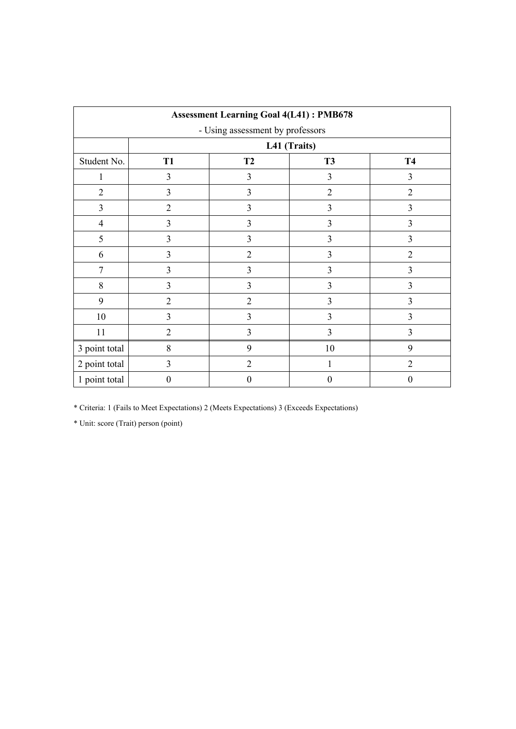| <b>Assessment Learning Goal 4(L41): PMB678</b> |                  |                                     |                  |                  |  |  |  |  |  |
|------------------------------------------------|------------------|-------------------------------------|------------------|------------------|--|--|--|--|--|
| - Using assessment by professors               |                  |                                     |                  |                  |  |  |  |  |  |
|                                                |                  | L41 (Traits)                        |                  |                  |  |  |  |  |  |
| Student No.                                    | <b>T1</b>        | <b>T2</b><br><b>T3</b><br><b>T4</b> |                  |                  |  |  |  |  |  |
| 1                                              | 3                | 3                                   | 3                | $\overline{3}$   |  |  |  |  |  |
| $\overline{2}$                                 | 3                | 3                                   | $\overline{2}$   | $\overline{2}$   |  |  |  |  |  |
| 3                                              | $\overline{2}$   | 3                                   | 3                | 3                |  |  |  |  |  |
| $\overline{4}$                                 | 3                | 3                                   | 3                | $\overline{3}$   |  |  |  |  |  |
| 5                                              | 3                | $\overline{3}$                      | 3                | 3                |  |  |  |  |  |
| 6                                              | 3                | $\overline{2}$                      | 3                | $\overline{2}$   |  |  |  |  |  |
| 7                                              | 3                | 3                                   | 3                | 3                |  |  |  |  |  |
| 8                                              | $\overline{3}$   | $\overline{3}$                      | 3                | $\overline{3}$   |  |  |  |  |  |
| 9                                              | $\overline{2}$   | $\overline{2}$                      | 3                | $\overline{3}$   |  |  |  |  |  |
| 10                                             | 3                | $\overline{3}$                      | $\overline{3}$   | $\overline{3}$   |  |  |  |  |  |
| 11                                             | $\overline{2}$   | $\overline{3}$                      | $\overline{3}$   | $\overline{3}$   |  |  |  |  |  |
| 3 point total                                  | 8                | 9                                   | 10               | 9                |  |  |  |  |  |
| 2 point total                                  | 3                | $\overline{2}$                      | 1                | $\overline{2}$   |  |  |  |  |  |
| 1 point total                                  | $\boldsymbol{0}$ | $\boldsymbol{0}$                    | $\boldsymbol{0}$ | $\boldsymbol{0}$ |  |  |  |  |  |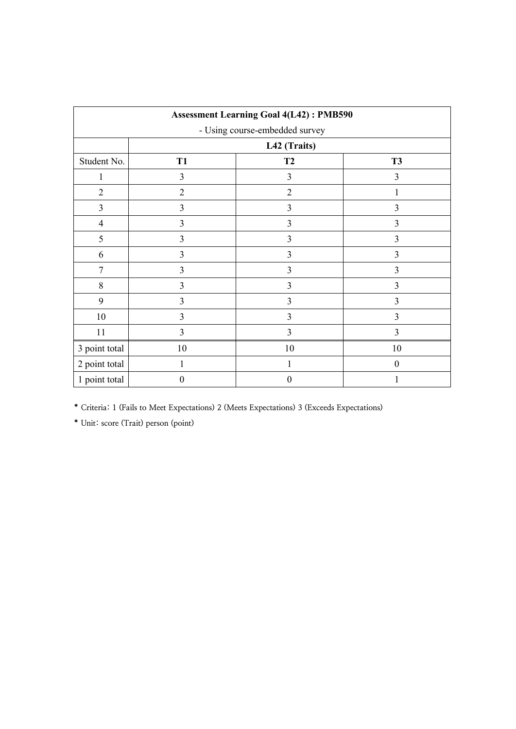| <b>Assessment Learning Goal 4(L42): PMB590</b> |                |                |                         |  |  |  |  |  |  |
|------------------------------------------------|----------------|----------------|-------------------------|--|--|--|--|--|--|
| - Using course-embedded survey                 |                |                |                         |  |  |  |  |  |  |
|                                                | L42 (Traits)   |                |                         |  |  |  |  |  |  |
| Student No.                                    | <b>T1</b>      | T2             | <b>T3</b>               |  |  |  |  |  |  |
| 1                                              | 3              | 3              | 3                       |  |  |  |  |  |  |
| $\overline{2}$                                 | $\overline{2}$ | $\overline{2}$ | 1                       |  |  |  |  |  |  |
| $\overline{3}$                                 | 3              | 3              | $\mathfrak{Z}$          |  |  |  |  |  |  |
| $\overline{4}$                                 | 3              | 3              | 3                       |  |  |  |  |  |  |
| 5                                              | 3              | 3              | 3                       |  |  |  |  |  |  |
| 6                                              | 3              | 3              | 3                       |  |  |  |  |  |  |
| $\tau$                                         | 3              | 3              | $\overline{\mathbf{3}}$ |  |  |  |  |  |  |
| $8\,$                                          | 3              | 3              | 3                       |  |  |  |  |  |  |
| 9                                              | 3              | 3              | 3                       |  |  |  |  |  |  |
| 10                                             | 3              | 3              | 3                       |  |  |  |  |  |  |
| 11                                             | 3              | 3              | 3                       |  |  |  |  |  |  |
| 3 point total                                  | 10             | 10             | 10                      |  |  |  |  |  |  |
| 2 point total                                  | 1              | 1              | $\theta$                |  |  |  |  |  |  |
| 1 point total                                  | $\theta$       | $\theta$       |                         |  |  |  |  |  |  |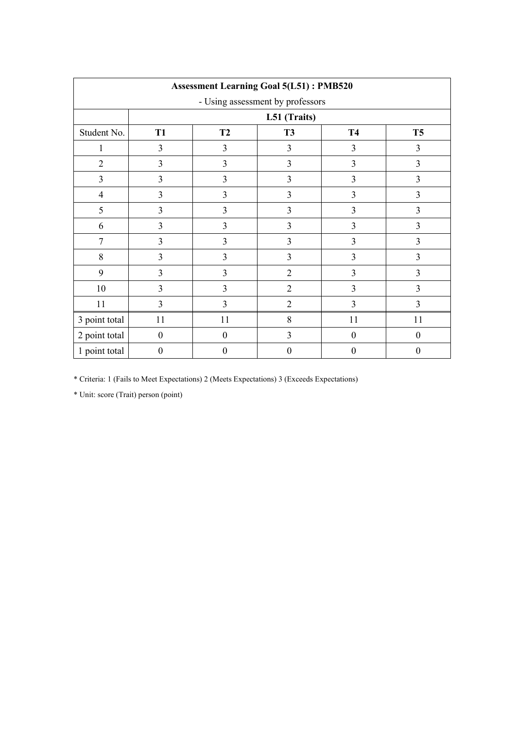| <b>Assessment Learning Goal 5(L51): PMB520</b> |                                                               |                  |                  |                  |                  |  |  |  |  |
|------------------------------------------------|---------------------------------------------------------------|------------------|------------------|------------------|------------------|--|--|--|--|
| - Using assessment by professors               |                                                               |                  |                  |                  |                  |  |  |  |  |
|                                                |                                                               | L51 (Traits)     |                  |                  |                  |  |  |  |  |
| Student No.                                    | <b>T2</b><br><b>T3</b><br><b>T4</b><br><b>T5</b><br><b>T1</b> |                  |                  |                  |                  |  |  |  |  |
| 1                                              | 3                                                             | 3                | 3                | 3                | $\overline{3}$   |  |  |  |  |
| $\overline{2}$                                 | 3                                                             | 3                | $\overline{3}$   | 3                | 3                |  |  |  |  |
| $\overline{3}$                                 | 3                                                             | $\overline{3}$   | $\overline{3}$   | 3                | 3                |  |  |  |  |
| $\overline{4}$                                 | 3                                                             | $\overline{3}$   | 3                | 3                | $\overline{3}$   |  |  |  |  |
| 5                                              | 3                                                             | 3                | $\overline{3}$   | 3                | $\overline{3}$   |  |  |  |  |
| 6                                              | 3                                                             | 3                | 3                | 3                | 3                |  |  |  |  |
| 7                                              | 3                                                             | 3                | 3                | 3                | 3                |  |  |  |  |
| $8\,$                                          | 3                                                             | 3                | 3                | 3                | 3                |  |  |  |  |
| 9                                              | 3                                                             | 3                | $\overline{2}$   | 3                | 3                |  |  |  |  |
| 10                                             | 3                                                             | 3                | $\overline{2}$   | 3                | 3                |  |  |  |  |
| 11                                             | $\overline{3}$                                                | $\overline{3}$   | $\overline{2}$   | 3                | $\overline{3}$   |  |  |  |  |
| 3 point total                                  | 11                                                            | 11               | 8                | 11               | 11               |  |  |  |  |
| 2 point total                                  | $\boldsymbol{0}$                                              | $\boldsymbol{0}$ | $\overline{3}$   | $\boldsymbol{0}$ | $\mathbf{0}$     |  |  |  |  |
| 1 point total                                  | $\boldsymbol{0}$                                              | $\boldsymbol{0}$ | $\boldsymbol{0}$ | $\boldsymbol{0}$ | $\boldsymbol{0}$ |  |  |  |  |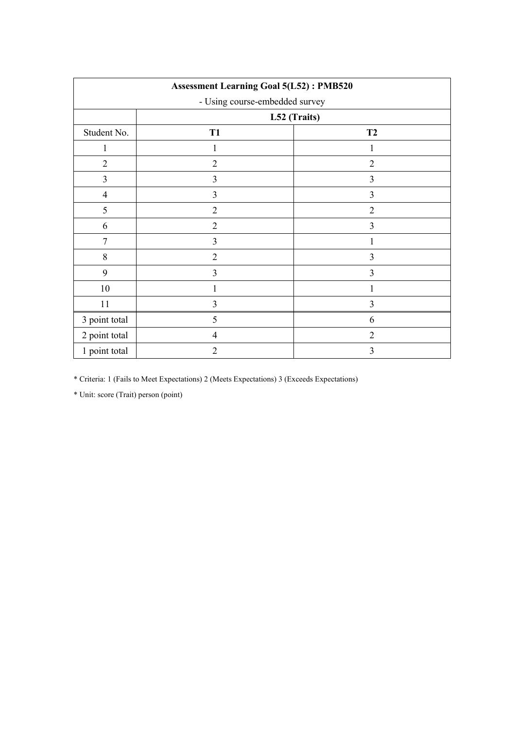| <b>Assessment Learning Goal 5(L52): PMB520</b> |                |                |  |  |  |  |  |
|------------------------------------------------|----------------|----------------|--|--|--|--|--|
| - Using course-embedded survey                 |                |                |  |  |  |  |  |
|                                                | L52 (Traits)   |                |  |  |  |  |  |
| Student No.                                    | T <sub>1</sub> | T <sub>2</sub> |  |  |  |  |  |
| 1                                              | 1              | 1              |  |  |  |  |  |
| $\overline{2}$                                 | $\overline{2}$ | $\overline{2}$ |  |  |  |  |  |
| 3                                              | 3              | 3              |  |  |  |  |  |
| $\overline{4}$                                 | 3              | 3              |  |  |  |  |  |
| 5                                              | $\overline{2}$ | $\overline{2}$ |  |  |  |  |  |
| 6                                              | $\overline{2}$ | 3              |  |  |  |  |  |
| 7                                              | 3              | 1              |  |  |  |  |  |
| 8                                              | $\overline{2}$ | 3              |  |  |  |  |  |
| 9                                              | 3              | 3              |  |  |  |  |  |
| 10                                             | 1              | 1              |  |  |  |  |  |
| 11                                             | 3              | $\overline{3}$ |  |  |  |  |  |
| 3 point total                                  | 5              | 6              |  |  |  |  |  |
| 2 point total                                  | $\overline{4}$ | $\overline{2}$ |  |  |  |  |  |
| 1 point total                                  | $\overline{2}$ | 3              |  |  |  |  |  |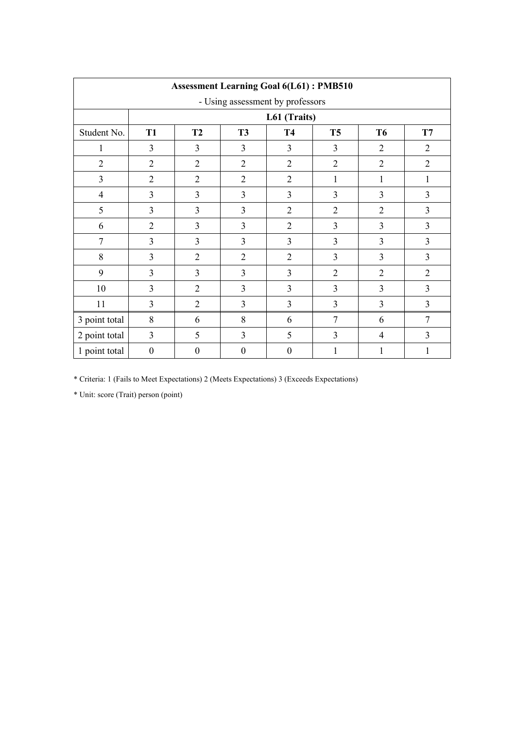|                |                  |                  | <b>Assessment Learning Goal 6(L61): PMB510</b> |                  |                |                |                |  |
|----------------|------------------|------------------|------------------------------------------------|------------------|----------------|----------------|----------------|--|
|                |                  |                  | - Using assessment by professors               |                  |                |                |                |  |
|                | L61 (Traits)     |                  |                                                |                  |                |                |                |  |
| Student No.    | T <sub>1</sub>   | <b>T2</b>        | <b>T3</b>                                      | <b>T4</b>        | T <sub>5</sub> | <b>T6</b>      | T7             |  |
| 1              | $\overline{3}$   | 3                | 3                                              | $\overline{3}$   | $\overline{3}$ | $\overline{2}$ | 2              |  |
| $\overline{2}$ | $\overline{2}$   | $\overline{2}$   | $\overline{2}$                                 | $\overline{2}$   | $\overline{2}$ | $\overline{2}$ | $\overline{2}$ |  |
| $\overline{3}$ | $\overline{2}$   | $\overline{2}$   | $\overline{2}$                                 | $\overline{2}$   | 1              | 1              | 1              |  |
| $\overline{4}$ | $\overline{3}$   | 3                | 3                                              | $\overline{3}$   | 3              | 3              | $\overline{3}$ |  |
| 5              | $\overline{3}$   | $\overline{3}$   | 3                                              | $\overline{2}$   | $\overline{2}$ | $\overline{2}$ | $\overline{3}$ |  |
| 6              | $\overline{2}$   | 3                | $\overline{\mathbf{3}}$                        | $\overline{2}$   | $\overline{3}$ | 3              | $\overline{3}$ |  |
| $\overline{7}$ | 3                | 3                | $\overline{3}$                                 | $\overline{3}$   | $\overline{3}$ | 3              | $\overline{3}$ |  |
| 8              | 3                | $\overline{2}$   | $\overline{2}$                                 | $\overline{2}$   | $\overline{3}$ | 3              | $\overline{3}$ |  |
| 9              | 3                | 3                | 3                                              | $\overline{3}$   | $\overline{2}$ | $\overline{2}$ | $\overline{2}$ |  |
| 10             | 3                | $\overline{2}$   | 3                                              | $\overline{3}$   | $\overline{3}$ | 3              | 3              |  |
| 11             | $\mathfrak{Z}$   | $\overline{2}$   | 3                                              | $\overline{3}$   | 3              | 3              | $\overline{3}$ |  |
| 3 point total  | 8                | 6                | 8                                              | 6                | $\tau$         | 6              | $\overline{7}$ |  |
| 2 point total  | $\overline{3}$   | 5                | $\overline{3}$                                 | 5                | 3              | $\overline{4}$ | $\overline{3}$ |  |
| 1 point total  | $\boldsymbol{0}$ | $\boldsymbol{0}$ | $\boldsymbol{0}$                               | $\boldsymbol{0}$ | 1              | $\mathbf{1}$   | 1              |  |